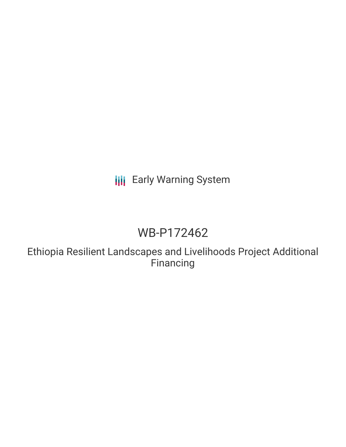## **III** Early Warning System

# WB-P172462

Ethiopia Resilient Landscapes and Livelihoods Project Additional Financing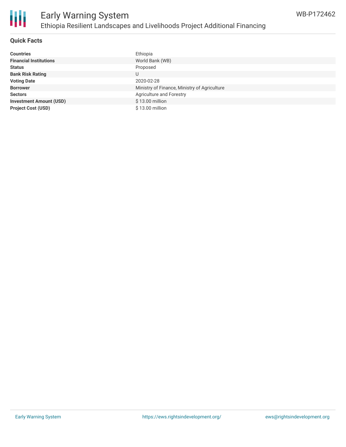

#### **Quick Facts**

| <b>Countries</b>               | Ethiopia                                     |
|--------------------------------|----------------------------------------------|
| <b>Financial Institutions</b>  | World Bank (WB)                              |
| <b>Status</b>                  | Proposed                                     |
| <b>Bank Risk Rating</b>        |                                              |
| <b>Voting Date</b>             | 2020-02-28                                   |
| <b>Borrower</b>                | Ministry of Finance, Ministry of Agriculture |
| <b>Sectors</b>                 | Agriculture and Forestry                     |
| <b>Investment Amount (USD)</b> | \$13.00 million                              |
| <b>Project Cost (USD)</b>      | \$13.00 million                              |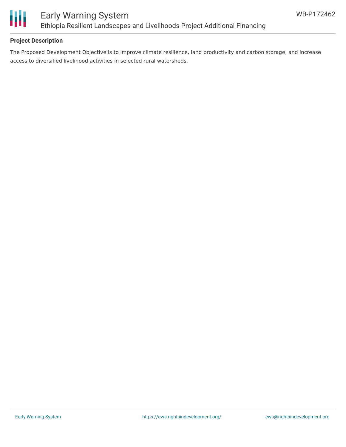

#### **Project Description**

The Proposed Development Objective is to improve climate resilience, land productivity and carbon storage, and increase access to diversified livelihood activities in selected rural watersheds.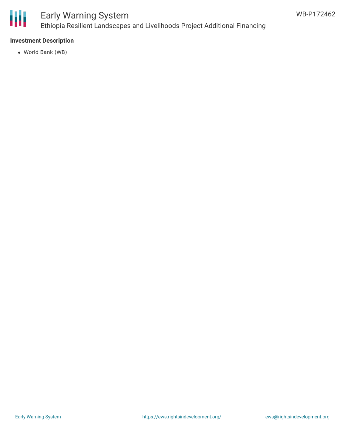

## Early Warning System Ethiopia Resilient Landscapes and Livelihoods Project Additional Financing

#### **Investment Description**

World Bank (WB)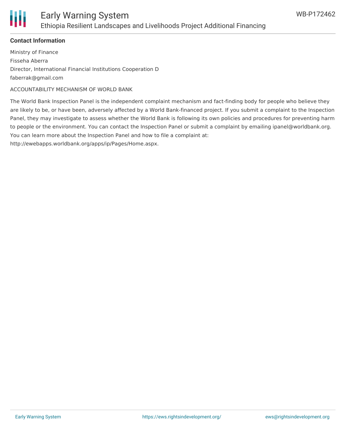

#### **Contact Information**

Ministry of Finance Fisseha Aberra Director, International Financial Institutions Cooperation D faberrak@gmail.com

ACCOUNTABILITY MECHANISM OF WORLD BANK

The World Bank Inspection Panel is the independent complaint mechanism and fact-finding body for people who believe they are likely to be, or have been, adversely affected by a World Bank-financed project. If you submit a complaint to the Inspection Panel, they may investigate to assess whether the World Bank is following its own policies and procedures for preventing harm to people or the environment. You can contact the Inspection Panel or submit a complaint by emailing ipanel@worldbank.org. You can learn more about the Inspection Panel and how to file a complaint at:

http://ewebapps.worldbank.org/apps/ip/Pages/Home.aspx.